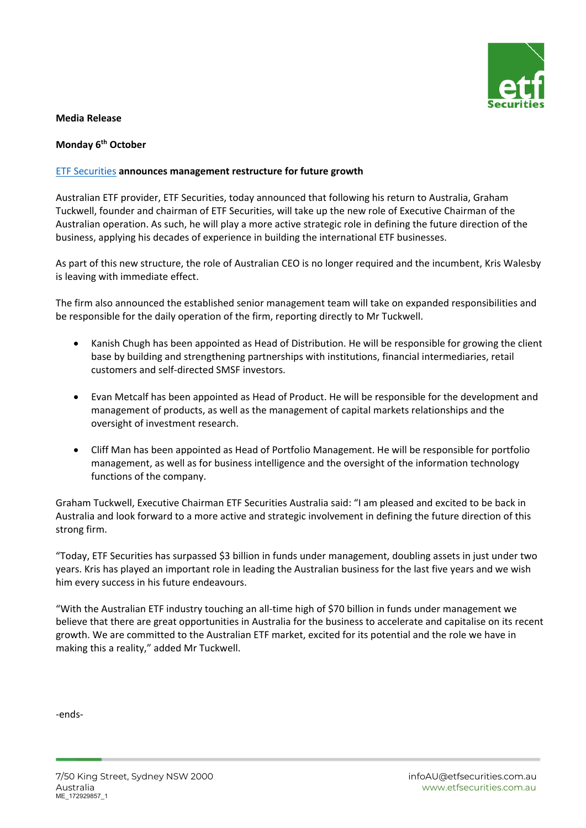

## **Media Release**

## **Monday 6th October**

## [ETF Securities](https://www.etfsecurities.com.au/) **announces management restructure for future growth**

Australian ETF provider, ETF Securities, today announced that following his return to Australia, Graham Tuckwell, founder and chairman of ETF Securities, will take up the new role of Executive Chairman of the Australian operation. As such, he will play a more active strategic role in defining the future direction of the business, applying his decades of experience in building the international ETF businesses.

As part of this new structure, the role of Australian CEO is no longer required and the incumbent, Kris Walesby is leaving with immediate effect.

The firm also announced the established senior management team will take on expanded responsibilities and be responsible for the daily operation of the firm, reporting directly to Mr Tuckwell.

- Kanish Chugh has been appointed as Head of Distribution. He will be responsible for growing the client base by building and strengthening partnerships with institutions, financial intermediaries, retail customers and self-directed SMSF investors.
- Evan Metcalf has been appointed as Head of Product. He will be responsible for the development and management of products, as well as the management of capital markets relationships and the oversight of investment research.
- Cliff Man has been appointed as Head of Portfolio Management. He will be responsible for portfolio management, as well as for business intelligence and the oversight of the information technology functions of the company.

Graham Tuckwell, Executive Chairman ETF Securities Australia said: "I am pleased and excited to be back in Australia and look forward to a more active and strategic involvement in defining the future direction of this strong firm.

"Today, ETF Securities has surpassed \$3 billion in funds under management, doubling assets in just under two years. Kris has played an important role in leading the Australian business for the last five years and we wish him every success in his future endeavours.

"With the Australian ETF industry touching an all-time high of \$70 billion in funds under management we believe that there are great opportunities in Australia for the business to accelerate and capitalise on its recent growth. We are committed to the Australian ETF market, excited for its potential and the role we have in making this a reality," added Mr Tuckwell.

-ends-